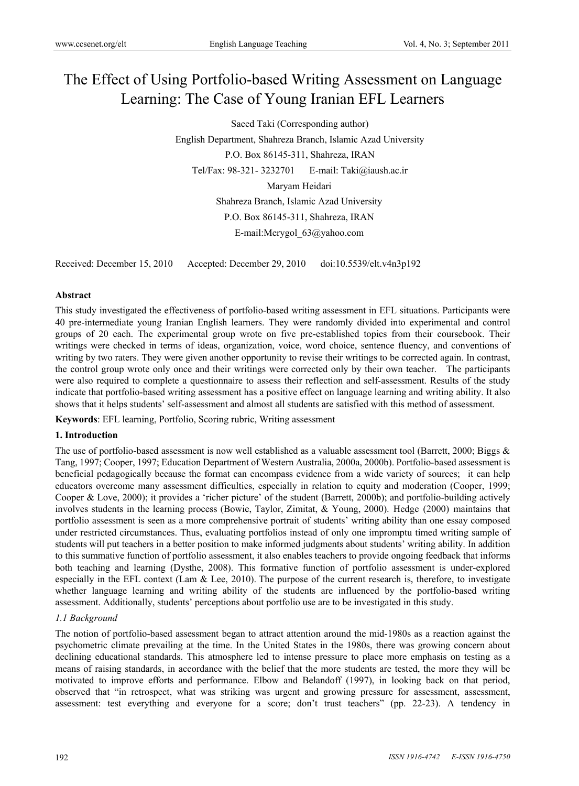# The Effect of Using Portfolio-based Writing Assessment on Language Learning: The Case of Young Iranian EFL Learners

Saeed Taki (Corresponding author) English Department, Shahreza Branch, Islamic Azad University P.O. Box 86145-311, Shahreza, IRAN Tel/Fax: 98-321- 3232701 E-mail: Taki@iaush.ac.ir Maryam Heidari Shahreza Branch, Islamic Azad University P.O. Box 86145-311, Shahreza, IRAN

E-mail:Merygol\_63@yahoo.com

Received: December 15, 2010 Accepted: December 29, 2010 doi:10.5539/elt.v4n3p192

## **Abstract**

This study investigated the effectiveness of portfolio-based writing assessment in EFL situations. Participants were 40 pre-intermediate young Iranian English learners. They were randomly divided into experimental and control groups of 20 each. The experimental group wrote on five pre-established topics from their coursebook. Their writings were checked in terms of ideas, organization, voice, word choice, sentence fluency, and conventions of writing by two raters. They were given another opportunity to revise their writings to be corrected again. In contrast, the control group wrote only once and their writings were corrected only by their own teacher. The participants were also required to complete a questionnaire to assess their reflection and self-assessment. Results of the study indicate that portfolio-based writing assessment has a positive effect on language learning and writing ability. It also shows that it helps students' self-assessment and almost all students are satisfied with this method of assessment.

**Keywords**: EFL learning, Portfolio, Scoring rubric, Writing assessment

## **1. Introduction**

The use of portfolio-based assessment is now well established as a valuable assessment tool (Barrett, 2000; Biggs & Tang, 1997; Cooper, 1997; Education Department of Western Australia, 2000a, 2000b). Portfolio-based assessment is beneficial pedagogically because the format can encompass evidence from a wide variety of sources; it can help educators overcome many assessment difficulties, especially in relation to equity and moderation (Cooper, 1999; Cooper & Love, 2000); it provides a 'richer picture' of the student (Barrett, 2000b); and portfolio-building actively involves students in the learning process (Bowie, Taylor, Zimitat, & Young, 2000). Hedge (2000) maintains that portfolio assessment is seen as a more comprehensive portrait of students' writing ability than one essay composed under restricted circumstances. Thus, evaluating portfolios instead of only one impromptu timed writing sample of students will put teachers in a better position to make informed judgments about students' writing ability. In addition to this summative function of portfolio assessment, it also enables teachers to provide ongoing feedback that informs both teaching and learning (Dysthe, 2008). This formative function of portfolio assessment is under-explored especially in the EFL context (Lam  $\&$  Lee, 2010). The purpose of the current research is, therefore, to investigate whether language learning and writing ability of the students are influenced by the portfolio-based writing assessment. Additionally, students' perceptions about portfolio use are to be investigated in this study.

## *1.1 Background*

The notion of portfolio-based assessment began to attract attention around the mid-1980s as a reaction against the psychometric climate prevailing at the time. In the United States in the 1980s, there was growing concern about declining educational standards. This atmosphere led to intense pressure to place more emphasis on testing as a means of raising standards, in accordance with the belief that the more students are tested, the more they will be motivated to improve efforts and performance. Elbow and Belandoff (1997), in looking back on that period, observed that "in retrospect, what was striking was urgent and growing pressure for assessment, assessment, assessment: test everything and everyone for a score; don't trust teachers" (pp. 22-23). A tendency in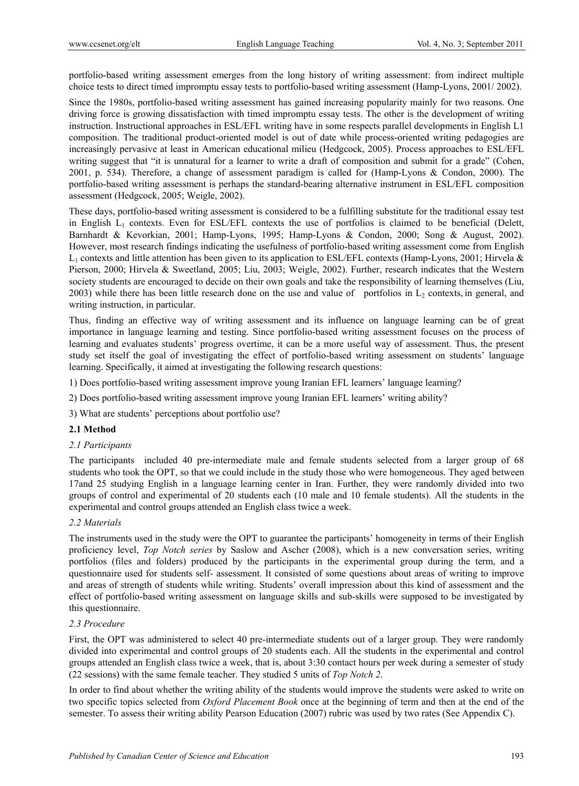portfolio-based writing assessment emerges from the long history of writing assessment: from indirect multiple choice tests to direct timed impromptu essay tests to portfolio-based writing assessment (Hamp-Lyons, 2001/ 2002).

Since the 1980s, portfolio-based writing assessment has gained increasing popularity mainly for two reasons. One driving force is growing dissatisfaction with timed impromptu essay tests. The other is the development of writing instruction. Instructional approaches in ESL/EFL writing have in some respects parallel developments in English L1 composition. The traditional product-oriented model is out of date while process-oriented writing pedagogies are increasingly pervasive at least in American educational milieu (Hedgcock, 2005). Process approaches to ESL/EFL writing suggest that "it is unnatural for a learner to write a draft of composition and submit for a grade" (Cohen, 2001, p. 534). Therefore, a change of assessment paradigm is called for (Hamp-Lyons & Condon, 2000). The portfolio-based writing assessment is perhaps the standard-bearing alternative instrument in ESL/EFL composition assessment (Hedgcock, 2005; Weigle, 2002).

These days, portfolio-based writing assessment is considered to be a fulfilling substitute for the traditional essay test in English  $L_1$  contexts. Even for ESL/EFL contexts the use of portfolios is claimed to be beneficial (Delett, Barnhardt & Kevorkian, 2001; Hamp-Lyons, 1995; Hamp-Lyons & Condon, 2000; Song & August, 2002). However, most research findings indicating the usefulness of portfolio-based writing assessment come from English  $L_1$  contexts and little attention has been given to its application to ESL/EFL contexts (Hamp-Lyons, 2001; Hirvela & Pierson, 2000; Hirvela & Sweetland, 2005; Liu, 2003; Weigle, 2002). Further, research indicates that the Western society students are encouraged to decide on their own goals and take the responsibility of learning themselves (Liu, 2003) while there has been little research done on the use and value of portfolios in  $L<sub>2</sub>$  contexts, in general, and writing instruction, in particular.

Thus, finding an effective way of writing assessment and its influence on language learning can be of great importance in language learning and testing. Since portfolio-based writing assessment focuses on the process of learning and evaluates students' progress overtime, it can be a more useful way of assessment. Thus, the present study set itself the goal of investigating the effect of portfolio-based writing assessment on students' language learning. Specifically, it aimed at investigating the following research questions:

1) Does portfolio-based writing assessment improve young Iranian EFL learners' language learning?

2) Does portfolio-based writing assessment improve young Iranian EFL learners' writing ability?

3) What are students' perceptions about portfolio use?

## **2.1 Method**

#### *2.1 Participants*

The participants included 40 pre-intermediate male and female students selected from a larger group of 68 students who took the OPT, so that we could include in the study those who were homogeneous. They aged between 17and 25 studying English in a language learning center in Iran. Further, they were randomly divided into two groups of control and experimental of 20 students each (10 male and 10 female students). All the students in the experimental and control groups attended an English class twice a week.

#### *2.2 Materials*

The instruments used in the study were the OPT to guarantee the participants' homogeneity in terms of their English proficiency level, *Top Notch series* by Saslow and Ascher (2008), which is a new conversation series, writing portfolios (files and folders) produced by the participants in the experimental group during the term, and a questionnaire used for students self- assessment. It consisted of some questions about areas of writing to improve and areas of strength of students while writing. Students' overall impression about this kind of assessment and the effect of portfolio-based writing assessment on language skills and sub-skills were supposed to be investigated by this questionnaire.

## *2.3 Procedure*

First, the OPT was administered to select 40 pre-intermediate students out of a larger group. They were randomly divided into experimental and control groups of 20 students each. All the students in the experimental and control groups attended an English class twice a week, that is, about 3:30 contact hours per week during a semester of study (22 sessions) with the same female teacher. They studied 5 units of *Top Notch 2*.

In order to find about whether the writing ability of the students would improve the students were asked to write on two specific topics selected from *Oxford Placement Book* once at the beginning of term and then at the end of the semester. To assess their writing ability Pearson Education (2007) rubric was used by two rates (See Appendix C).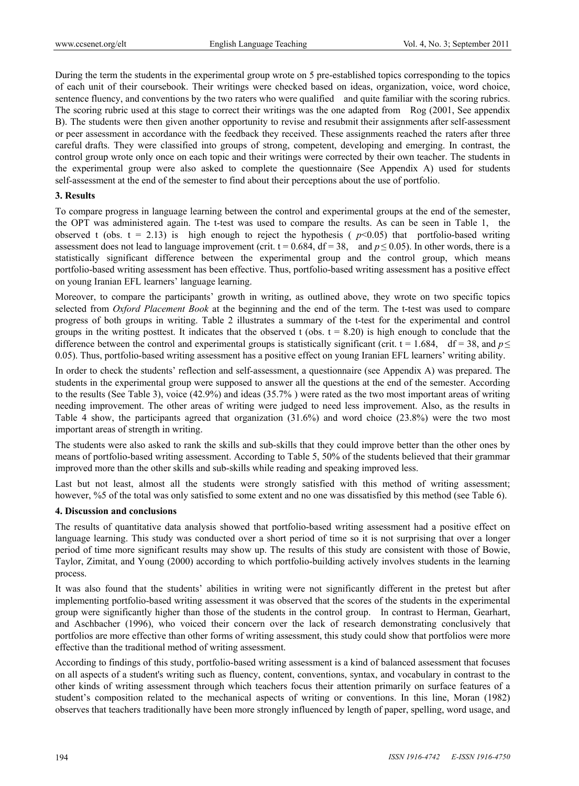During the term the students in the experimental group wrote on 5 pre-established topics corresponding to the topics of each unit of their coursebook. Their writings were checked based on ideas, organization, voice, word choice, sentence fluency, and conventions by the two raters who were qualified and quite familiar with the scoring rubrics. The scoring rubric used at this stage to correct their writings was the one adapted from Rog (2001, See appendix B). The students were then given another opportunity to revise and resubmit their assignments after self-assessment or peer assessment in accordance with the feedback they received. These assignments reached the raters after three careful drafts. They were classified into groups of strong, competent, developing and emerging. In contrast, the control group wrote only once on each topic and their writings were corrected by their own teacher. The students in the experimental group were also asked to complete the questionnaire (See Appendix A) used for students self-assessment at the end of the semester to find about their perceptions about the use of portfolio.

## **3. Results**

To compare progress in language learning between the control and experimental groups at the end of the semester, the OPT was administered again. The t-test was used to compare the results. As can be seen in Table 1, the observed t (obs.  $t = 2.13$ ) is high enough to reject the hypothesis ( $p<0.05$ ) that portfolio-based writing assessment does not lead to language improvement (crit.  $t = 0.684$ ,  $df = 38$ , and  $p \le 0.05$ ). In other words, there is a statistically significant difference between the experimental group and the control group, which means portfolio-based writing assessment has been effective. Thus, portfolio-based writing assessment has a positive effect on young Iranian EFL learners' language learning.

Moreover, to compare the participants' growth in writing, as outlined above, they wrote on two specific topics selected from *Oxford Placement Book* at the beginning and the end of the term. The t-test was used to compare progress of both groups in writing. Table 2 illustrates a summary of the t-test for the experimental and control groups in the writing posttest. It indicates that the observed t (obs.  $t = 8.20$ ) is high enough to conclude that the difference between the control and experimental groups is statistically significant (crit.  $t = 1.684$ , df = 38, and  $p \le$ 0.05). Thus, portfolio-based writing assessment has a positive effect on young Iranian EFL learners' writing ability.

In order to check the students' reflection and self-assessment, a questionnaire (see Appendix A) was prepared. The students in the experimental group were supposed to answer all the questions at the end of the semester. According to the results (See Table 3), voice (42.9%) and ideas (35.7% ) were rated as the two most important areas of writing needing improvement. The other areas of writing were judged to need less improvement. Also, as the results in Table 4 show, the participants agreed that organization (31.6%) and word choice (23.8%) were the two most important areas of strength in writing.

The students were also asked to rank the skills and sub-skills that they could improve better than the other ones by means of portfolio-based writing assessment. According to Table 5, 50% of the students believed that their grammar improved more than the other skills and sub-skills while reading and speaking improved less.

Last but not least, almost all the students were strongly satisfied with this method of writing assessment; however, %5 of the total was only satisfied to some extent and no one was dissatisfied by this method (see Table 6).

## **4. Discussion and conclusions**

The results of quantitative data analysis showed that portfolio-based writing assessment had a positive effect on language learning. This study was conducted over a short period of time so it is not surprising that over a longer period of time more significant results may show up. The results of this study are consistent with those of Bowie, Taylor, Zimitat, and Young (2000) according to which portfolio-building actively involves students in the learning process.

It was also found that the students' abilities in writing were not significantly different in the pretest but after implementing portfolio-based writing assessment it was observed that the scores of the students in the experimental group were significantly higher than those of the students in the control group. In contrast to Herman, Gearhart, and Aschbacher (1996), who voiced their concern over the lack of research demonstrating conclusively that portfolios are more effective than other forms of writing assessment, this study could show that portfolios were more effective than the traditional method of writing assessment.

According to findings of this study, portfolio-based writing assessment is a kind of balanced assessment that focuses on all aspects of a student's writing such as fluency, content, conventions, syntax, and vocabulary in contrast to the other kinds of writing assessment through which teachers focus their attention primarily on surface features of a student's composition related to the mechanical aspects of writing or conventions. In this line, Moran (1982) observes that teachers traditionally have been more strongly influenced by length of paper, spelling, word usage, and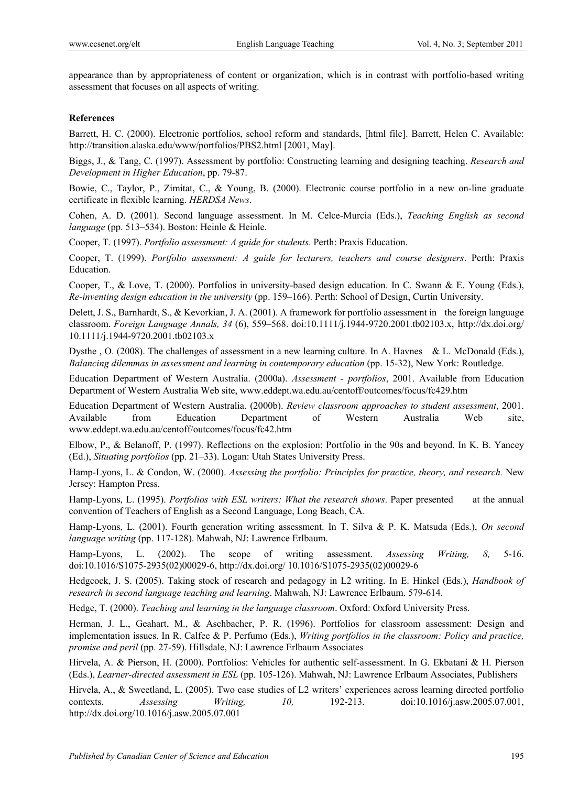appearance than by appropriateness of content or organization, which is in contrast with portfolio-based writing assessment that focuses on all aspects of writing.

#### **References**

Barrett, H. C. (2000). Electronic portfolios, school reform and standards, [html file]. Barrett, Helen C. Available: http://transition.alaska.edu/www/portfolios/PBS2.html [2001, May].

Biggs, J., & Tang, C. (1997). Assessment by portfolio: Constructing learning and designing teaching. *Research and Development in Higher Education*, pp. 79-87.

Bowie, C., Taylor, P., Zimitat, C., & Young, B. (2000). Electronic course portfolio in a new on-line graduate certificate in flexible learning. *HERDSA News*.

Cohen, A. D. (2001). Second language assessment. In M. Celce-Murcia (Eds.), *Teaching English as second language* (pp. 513–534). Boston: Heinle & Heinle.

Cooper, T. (1997). *Portfolio assessment: A guide for students*. Perth: Praxis Education.

Cooper, T. (1999). *Portfolio assessment: A guide for lecturers, teachers and course designers*. Perth: Praxis Education.

Cooper, T., & Love, T. (2000). Portfolios in university-based design education. In C. Swann & E. Young (Eds.), *Re-inventing design education in the university* (pp. 159–166). Perth: School of Design, Curtin University.

Delett, J. S., Barnhardt, S., & Kevorkian, J. A. (2001). A framework for portfolio assessment in the foreign language classroom. *Foreign Language Annals, 34* (6), 559–568. doi:10.1111/j.1944-9720.2001.tb02103.x, http://dx.doi.org/ 10.1111/j.1944-9720.2001.tb02103.x

Dysthe , O. (2008). The challenges of assessment in a new learning culture. In A. Havnes & L. McDonald (Eds.), *Balancing dilemmas in assessment and learning in contemporary education* (pp. 15-32), New York: Routledge.

Education Department of Western Australia. (2000a). *Assessment - portfolios*, 2001. Available from Education Department of Western Australia Web site, www.eddept.wa.edu.au/centoff/outcomes/focus/fc429.htm

Education Department of Western Australia. (2000b). *Review classroom approaches to student assessment*, 2001. Available from Education Department of Western Australia Web site, www.eddept.wa.edu.au/centoff/outcomes/focus/fc42.htm

Elbow, P., & Belanoff, P. (1997). Reflections on the explosion: Portfolio in the 90s and beyond. In K. B. Yancey (Ed.), *Situating portfolios* (pp. 21–33). Logan: Utah States University Press.

Hamp-Lyons, L. & Condon, W. (2000). *Assessing the portfolio: Principles for practice, theory, and research.* New Jersey: Hampton Press.

Hamp-Lyons, L. (1995). *Portfolios with ESL writers: What the research shows*. Paper presented at the annual convention of Teachers of English as a Second Language, Long Beach, CA.

Hamp-Lyons, L. (2001). Fourth generation writing assessment. In T. Silva & P. K. Matsuda (Eds.), *On second language writing* (pp. 117-128). Mahwah, NJ: Lawrence Erlbaum.

Hamp-Lyons, L. (2002). The scope of writing assessment. *Assessing Writing, 8,* 5-16. doi:10.1016/S1075-2935(02)00029-6, http://dx.doi.org/ 10.1016/S1075-2935(02)00029-6

Hedgcock, J. S. (2005). Taking stock of research and pedagogy in L2 writing. In E. Hinkel (Eds.), *Handbook of research in second language teaching and learning*. Mahwah, NJ: Lawrence Erlbaum. 579-614.

Hedge, T. (2000). *Teaching and learning in the language classroom*. Oxford: Oxford University Press.

Herman, J. L., Geahart, M., & Aschbacher, P. R. (1996). Portfolios for classroom assessment: Design and implementation issues. In R. Calfee & P. Perfumo (Eds.), *Writing portfolios in the classroom: Policy and practice, promise and peril* (pp. 27-59). Hillsdale, NJ: Lawrence Erlbaum Associates

Hirvela, A. & Pierson, H. (2000). Portfolios: Vehicles for authentic self-assessment. In G. Ekbatani & H. Pierson (Eds.), *Learner-directed assessment in ESL* (pp. 105-126). Mahwah, NJ: Lawrence Erlbaum Associates, Publishers

Hirvela, A., & Sweetland, L. (2005). Two case studies of L2 writers' experiences across learning directed portfolio contexts. *Assessing Writing, 10,* 192-213. doi:10.1016/j.asw.2005.07.001, http://dx.doi.org/10.1016/j.asw.2005.07.001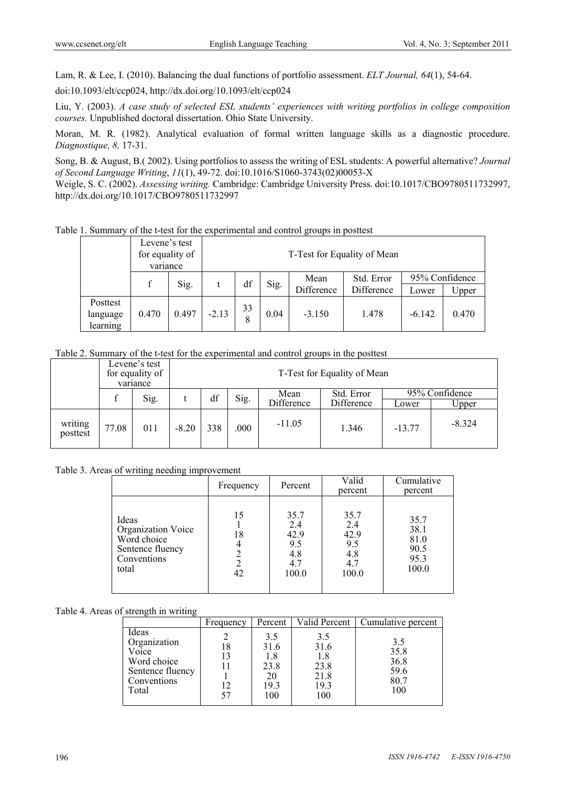Lam, R. & Lee, I. (2010). Balancing the dual functions of portfolio assessment. *ELT Journal, 64*(1), 54-64.

doi:10.1093/elt/ccp024, http://dx.doi.org/10.1093/elt/ccp024

Liu, Y. (2003). *A case study of selected ESL students' experiences with writing portfolios in college composition courses.* Unpublished doctoral dissertation. Ohio State University.

Moran, M. R. (1982). Analytical evaluation of formal written language skills as a diagnostic procedure. *Diagnostique, 8,* 17-31.

Song, B. & August, B.( 2002). Using portfolios to assess the writing of ESL students: A powerful alternative? *Journal of Second Language Writing*, *11*(1), 49-72. doi:10.1016/S1060-3743(02)00053-X

Weigle, S. C. (2002). *Assessing writing.* Cambridge: Cambridge University Press. doi:10.1017/CBO9780511732997, http://dx.doi.org/10.1017/CBO9780511732997

Table 1. Summary of the t-test for the experimental and control groups in posttest

|                                  | Levene's test<br>for equality of<br>variance |       |         |         |      | T-Test for Equality of Mean |                          |          |                         |
|----------------------------------|----------------------------------------------|-------|---------|---------|------|-----------------------------|--------------------------|----------|-------------------------|
|                                  |                                              | Sig.  |         | df      | Sig. | Mean<br>Difference          | Std. Error<br>Difference | Lower    | 95% Confidence<br>Upper |
| Posttest<br>language<br>learning | 0.470                                        | 0.497 | $-2.13$ | 33<br>8 | 0.04 | $-3.150$                    | 1.478                    | $-6.142$ | 0.470                   |

Table 2. Summary of the t-test for the experimental and control groups in the posttest

|                     |       | Levene's test<br>for equality of<br>variance |         |     |      |            | T-Test for Equality of Mean |          |                   |
|---------------------|-------|----------------------------------------------|---------|-----|------|------------|-----------------------------|----------|-------------------|
|                     |       | Sig.                                         |         | df  | Sig. | Mean       | Std. Error                  |          | 95% Confidence    |
|                     |       |                                              |         |     |      | Difference | Difference                  | Lower    | J <sub>pper</sub> |
| writing<br>posttest | 77.08 | 011                                          | $-8.20$ | 338 | .000 | $-11.05$   | 1.346                       | $-13.77$ | $-8.324$          |

Table 3. Areas of writing needing improvement

|                                                                                        | Frequency      | Percent                                           | Valid<br>percent                                  | Cumulative<br>percent                         |
|----------------------------------------------------------------------------------------|----------------|---------------------------------------------------|---------------------------------------------------|-----------------------------------------------|
| Ideas<br>Organization Voice<br>Word choice<br>Sentence fluency<br>Conventions<br>total | 15<br>18<br>42 | 35.7<br>2.4<br>42.9<br>9.5<br>4.8<br>4.7<br>100.0 | 35.7<br>2.4<br>42.9<br>9.5<br>4.8<br>4.7<br>100.0 | 35.7<br>38.1<br>81.0<br>90.5<br>95.3<br>100.0 |

Table 4. Areas of strength in writing

|                                                                                           | Frequency            | Percent                                         | Valid Percent                                     | Cumulative percent                         |
|-------------------------------------------------------------------------------------------|----------------------|-------------------------------------------------|---------------------------------------------------|--------------------------------------------|
| Ideas<br>Organization<br>Voice<br>Word choice<br>Sentence fluency<br>Conventions<br>Total | 18<br>13<br>12<br>57 | 3.5<br>31.6<br>1.8<br>23.8<br>20<br>19.3<br>100 | 3.5<br>31.6<br>1.8<br>23.8<br>21.8<br>19.3<br>100 | 3.5<br>35.8<br>36.8<br>59.6<br>80.7<br>100 |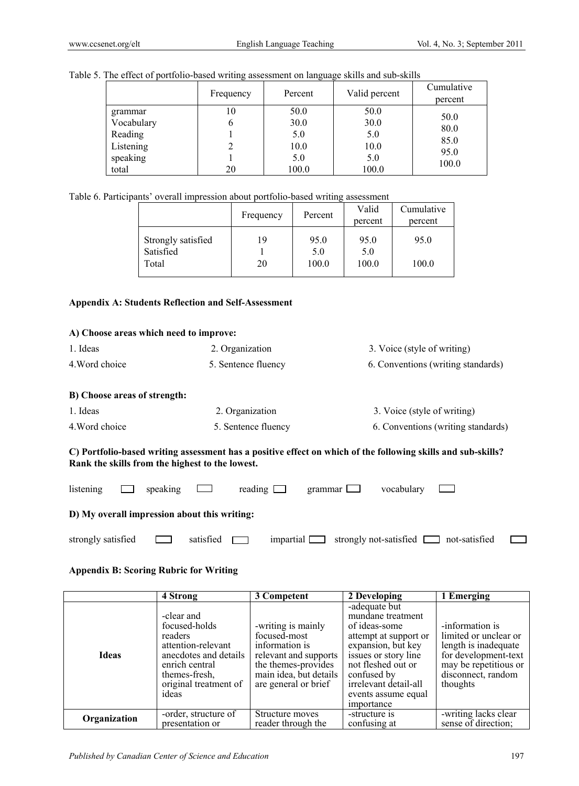|                                                                    | Frequency | Percent                                     | Valid percent                               | Cumulative<br>percent                 |
|--------------------------------------------------------------------|-----------|---------------------------------------------|---------------------------------------------|---------------------------------------|
| grammar<br>Vocabulary<br>Reading<br>Listening<br>speaking<br>total | 10<br>20  | 50.0<br>30.0<br>5.0<br>10.0<br>5.0<br>100.0 | 50.0<br>30.0<br>5.0<br>10.0<br>5.0<br>100.0 | 50.0<br>80.0<br>85.0<br>95.0<br>100.0 |

|  | Table 5. The effect of portfolio-based writing assessment on language skills and sub-skills |  |
|--|---------------------------------------------------------------------------------------------|--|
|  |                                                                                             |  |

Table 6. Participants' overall impression about portfolio-based writing assessment

|                                 | Frequency | Percent     | Valid<br>percent | Cumulative<br>percent |
|---------------------------------|-----------|-------------|------------------|-----------------------|
| Strongly satisfied<br>Satisfied | 19        | 95.0<br>5.0 | 95.0<br>5.0      | 95.0                  |
| Total                           | 20        | 100.0       | 100.0            | 100.0                 |

# **Appendix A: Students Reflection and Self-Assessment**

| A) Choose areas which need to improve:          |                          |                                                                                                              |
|-------------------------------------------------|--------------------------|--------------------------------------------------------------------------------------------------------------|
| 1. Ideas                                        | 2. Organization          | 3. Voice (style of writing)                                                                                  |
| 4. Word choice                                  | 5. Sentence fluency      | 6. Conventions (writing standards)                                                                           |
| B) Choose areas of strength:                    |                          |                                                                                                              |
| 1. Ideas                                        | 2. Organization          | 3. Voice (style of writing)                                                                                  |
| 4. Word choice                                  | 5. Sentence fluency      | 6. Conventions (writing standards)                                                                           |
| Rank the skills from the highest to the lowest. |                          | C) Portfolio-based writing assessment has a positive effect on which of the following skills and sub-skills? |
| listening<br>speaking                           | reading                  | vocabulary<br>grammar                                                                                        |
| D) My overall impression about this writing:    |                          |                                                                                                              |
| strongly satisfied                              | satisfied<br>impartial [ | strongly not-satisfied<br>not-satisfied                                                                      |

## **Appendix B: Scoring Rubric for Writing**

|              | 4 Strong                                                                                                                                                   | 3 Competent                                                                                                                                            | 2 Developing                                                                                                                                                                                                                  | 1 Emerging                                                                                                                                          |
|--------------|------------------------------------------------------------------------------------------------------------------------------------------------------------|--------------------------------------------------------------------------------------------------------------------------------------------------------|-------------------------------------------------------------------------------------------------------------------------------------------------------------------------------------------------------------------------------|-----------------------------------------------------------------------------------------------------------------------------------------------------|
| <b>Ideas</b> | -clear and<br>focused-holds<br>readers<br>attention-relevant<br>anecdotes and details<br>enrich central<br>themes-fresh.<br>original treatment of<br>ideas | -writing is mainly<br>focused-most<br>information is<br>relevant and supports<br>the themes-provides<br>main idea, but details<br>are general or brief | -adequate but<br>mundane treatment<br>of ideas-some<br>attempt at support or<br>expansion, but key<br>issues or story line<br>not fleshed out or<br>confused by<br>irrelevant detail-all<br>events assume equal<br>importance | -information is<br>limited or unclear or<br>length is inadequate<br>for development-text<br>may be repetitious or<br>disconnect, random<br>thoughts |
| Organization | -order, structure of<br>presentation or                                                                                                                    | Structure moves<br>reader through the                                                                                                                  | -structure is<br>confusing at                                                                                                                                                                                                 | -writing lacks clear<br>sense of direction;                                                                                                         |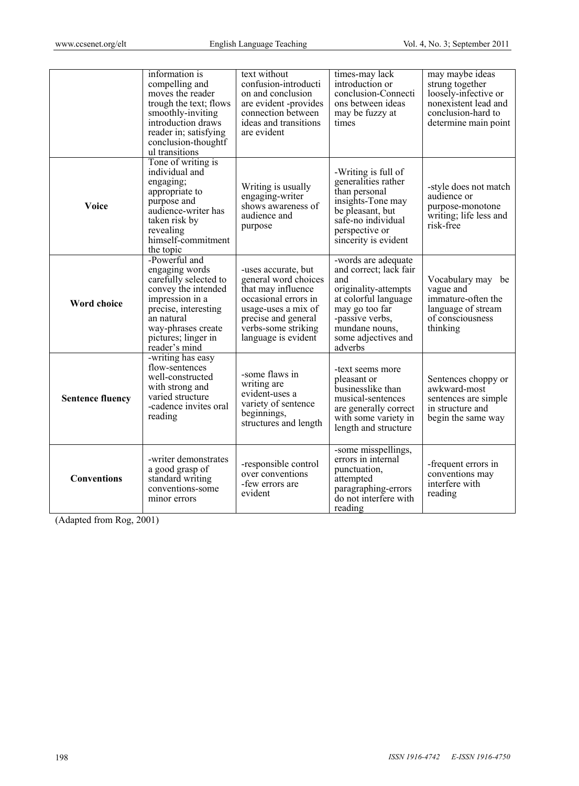|                         | information is<br>compelling and<br>moves the reader<br>trough the text; flows<br>smoothly-inviting<br>introduction draws<br>reader in; satisfying<br>conclusion-thoughtf<br>ul transitions            | text without<br>confusion-introducti<br>on and conclusion<br>are evident -provides<br>connection between<br>ideas and transitions<br>are evident                                      | times-may lack<br>introduction or<br>conclusion-Connecti<br>ons between ideas<br>may be fuzzy at<br>times                                                                                     | may maybe ideas<br>strung together<br>loosely-infective or<br>nonexistent lead and<br>conclusion-hard to<br>determine main point |
|-------------------------|--------------------------------------------------------------------------------------------------------------------------------------------------------------------------------------------------------|---------------------------------------------------------------------------------------------------------------------------------------------------------------------------------------|-----------------------------------------------------------------------------------------------------------------------------------------------------------------------------------------------|----------------------------------------------------------------------------------------------------------------------------------|
| Voice                   | Tone of writing is<br>individual and<br>engaging;<br>appropriate to<br>purpose and<br>audience-writer has<br>taken risk by<br>revealing<br>himself-commitment<br>the topic                             | Writing is usually<br>engaging-writer<br>shows awareness of<br>audience and<br>purpose                                                                                                | -Writing is full of<br>generalities rather<br>than personal<br>insights-Tone may<br>be pleasant, but<br>safe-no individual<br>perspective or<br>sincerity is evident                          | -style does not match<br>audience or<br>purpose-monotone<br>writing; life less and<br>risk-free                                  |
| <b>Word choice</b>      | -Powerful and<br>engaging words<br>carefully selected to<br>convey the intended<br>impression in a<br>precise, interesting<br>an natural<br>way-phrases create<br>pictures; linger in<br>reader's mind | -uses accurate, but<br>general word choices<br>that may influence<br>occasional errors in<br>usage-uses a mix of<br>precise and general<br>verbs-some striking<br>language is evident | -words are adequate<br>and correct; lack fair<br>and<br>originality-attempts<br>at colorful language<br>may go too far<br>-passive verbs,<br>mundane nouns,<br>some adjectives and<br>adverbs | Vocabulary may be<br>vague and<br>immature-often the<br>language of stream<br>of consciousness<br>thinking                       |
| <b>Sentence fluency</b> | -writing has easy<br>flow-sentences<br>well-constructed<br>with strong and<br>varied structure<br>-cadence invites oral<br>reading                                                                     | -some flaws in<br>writing are<br>evident-uses a<br>variety of sentence<br>beginnings,<br>structures and length                                                                        | -text seems more<br>pleasant or<br>businesslike than<br>musical-sentences<br>are generally correct<br>with some variety in<br>length and structure                                            | Sentences choppy or<br>awkward-most<br>sentences are simple<br>in structure and<br>begin the same way                            |
| <b>Conventions</b>      | -writer demonstrates<br>a good grasp of<br>standard writing<br>conventions-some<br>minor errors                                                                                                        | -responsible control<br>over conventions<br>-few errors are<br>evident                                                                                                                | -some misspellings,<br>errors in internal<br>punctuation,<br>attempted<br>paragraphing-errors<br>do not interfere with<br>reading                                                             | -frequent errors in<br>conventions may<br>interfere with<br>reading                                                              |

(Adapted from Rog, 2001)